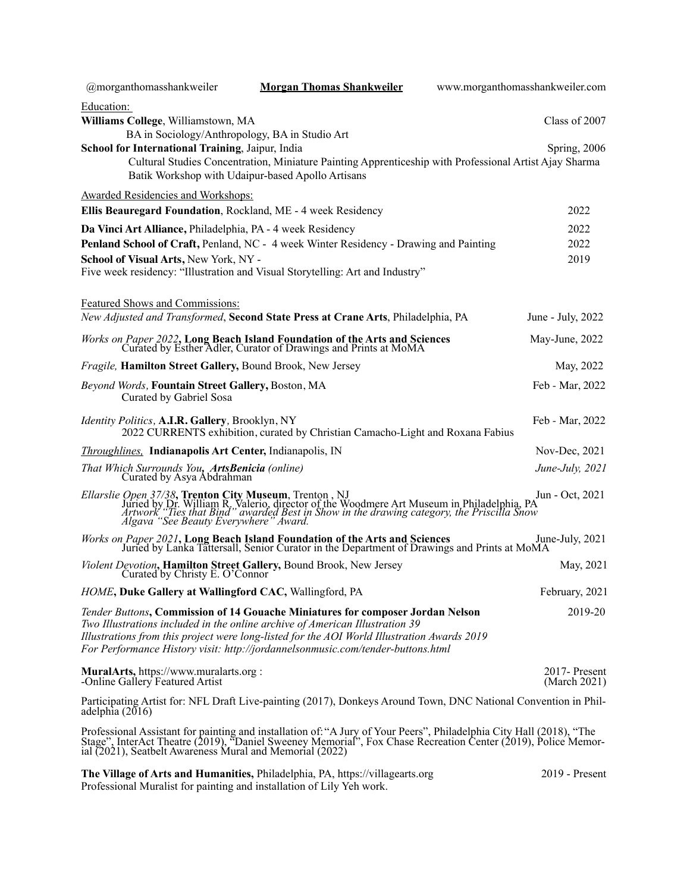| @morganthomasshankweiler                                                                                             | <b>Morgan Thomas Shankweiler</b>                                                                                                                                                                                                                                                                                                                 | www.morganthomasshankweiler.com |  |
|----------------------------------------------------------------------------------------------------------------------|--------------------------------------------------------------------------------------------------------------------------------------------------------------------------------------------------------------------------------------------------------------------------------------------------------------------------------------------------|---------------------------------|--|
| Education:                                                                                                           |                                                                                                                                                                                                                                                                                                                                                  |                                 |  |
| Williams College, Williamstown, MA                                                                                   |                                                                                                                                                                                                                                                                                                                                                  | Class of 2007                   |  |
| BA in Sociology/Anthropology, BA in Studio Art                                                                       |                                                                                                                                                                                                                                                                                                                                                  |                                 |  |
| School for International Training, Jaipur, India                                                                     | Cultural Studies Concentration, Miniature Painting Apprenticeship with Professional Artist Ajay Sharma                                                                                                                                                                                                                                           | Spring, 2006                    |  |
|                                                                                                                      | Batik Workshop with Udaipur-based Apollo Artisans                                                                                                                                                                                                                                                                                                |                                 |  |
| Awarded Residencies and Workshops:                                                                                   |                                                                                                                                                                                                                                                                                                                                                  |                                 |  |
| Ellis Beauregard Foundation, Rockland, ME - 4 week Residency                                                         |                                                                                                                                                                                                                                                                                                                                                  | 2022                            |  |
| Da Vinci Art Alliance, Philadelphia, PA - 4 week Residency                                                           |                                                                                                                                                                                                                                                                                                                                                  | 2022                            |  |
|                                                                                                                      | Penland School of Craft, Penland, NC - 4 week Winter Residency - Drawing and Painting                                                                                                                                                                                                                                                            | 2022                            |  |
| School of Visual Arts, New York, NY -                                                                                |                                                                                                                                                                                                                                                                                                                                                  | 2019                            |  |
|                                                                                                                      | Five week residency: "Illustration and Visual Storytelling: Art and Industry"                                                                                                                                                                                                                                                                    |                                 |  |
| Featured Shows and Commissions:                                                                                      |                                                                                                                                                                                                                                                                                                                                                  |                                 |  |
|                                                                                                                      | New Adjusted and Transformed, Second State Press at Crane Arts, Philadelphia, PA                                                                                                                                                                                                                                                                 | June - July, 2022               |  |
|                                                                                                                      | <i>Works on Paper 2022</i> , Long Beach Island Foundation of the Arts and Sciences<br>Curated by Esther Adler, Curator of Drawings and Prints at MoMA                                                                                                                                                                                            | May-June, 2022                  |  |
| Fragile, Hamilton Street Gallery, Bound Brook, New Jersey                                                            |                                                                                                                                                                                                                                                                                                                                                  | May, 2022                       |  |
| Beyond Words, Fountain Street Gallery, Boston, MA<br>Curated by Gabriel Sosa                                         |                                                                                                                                                                                                                                                                                                                                                  | Feb - Mar, 2022                 |  |
| <i>Identity Politics, A.I.R. Gallery, Brooklyn, NY</i>                                                               | 2022 CURRENTS exhibition, curated by Christian Camacho-Light and Roxana Fabius                                                                                                                                                                                                                                                                   | Feb - Mar, 2022                 |  |
| <i>Throughlines</i> , Indianapolis Art Center, Indianapolis, IN                                                      |                                                                                                                                                                                                                                                                                                                                                  | Nov-Dec, 2021                   |  |
| That Which Surrounds You, ArtsBenicia (online)<br>Curated by Asya Abdrahman                                          |                                                                                                                                                                                                                                                                                                                                                  | June-July, 2021                 |  |
|                                                                                                                      | Ellarslie Open 37/38, Trenton City Museum, Trenton, NJ<br>Juried by Dr. William R. Valerio, director of the Woodmere Art Museum in Philadelphia, PA<br>Artwork "Ties that Bind" awarded Best in Show in the drawing category, the Pr                                                                                                             | Jun - Oct, 2021                 |  |
|                                                                                                                      | <i>Works on Paper 2021</i> , Long Beach Island Foundation of the Arts and Sciences June Juried by Lanka Tattersall, Senior Curator in the Department of Drawings and Prints at MoMA                                                                                                                                                              | June-July, 2021                 |  |
| Violent Devotion, Hamilton Street Gallery, Bound Brook, New Jersey<br>Curated by Christy E. O'Connor                 |                                                                                                                                                                                                                                                                                                                                                  | May, 2021                       |  |
| HOME, Duke Gallery at Wallingford CAC, Wallingford, PA                                                               |                                                                                                                                                                                                                                                                                                                                                  | February, 2021                  |  |
|                                                                                                                      | Tender Buttons, Commission of 14 Gouache Miniatures for composer Jordan Nelson<br>Two Illustrations included in the online archive of American Illustration 39<br>Illustrations from this project were long-listed for the AOI World Illustration Awards 2019<br>For Performance History visit: http://jordannelsonmusic.com/tender-buttons.html | 2019-20                         |  |
|                                                                                                                      |                                                                                                                                                                                                                                                                                                                                                  |                                 |  |
| MuralArts, https://www.muralarts.org :<br>-Online Gallery Featured Artist                                            |                                                                                                                                                                                                                                                                                                                                                  | 2017-Present<br>(March 2021)    |  |
| adelphia $(2016)$                                                                                                    | Participating Artist for: NFL Draft Live-painting (2017), Donkeys Around Town, DNC National Convention in Phil-                                                                                                                                                                                                                                  |                                 |  |
| Professional Assistant for painting and installation of: "A Jury of Your Peers", Philadelphia City Hall (2018), "The |                                                                                                                                                                                                                                                                                                                                                  |                                 |  |

Stage", InterAct Theatre (2019), "Daniel Sweeney Memorial", Fox Chase Recreation Center (2019), Police Memor-<br>ial (2021), Seatbelt Awareness Mural and Memorial (2022)

**The Village of Arts and Humanities,** Philadelphia, PA, https://villagearts.org 2019 - Present Professional Muralist for painting and installation of Lily Yeh work.